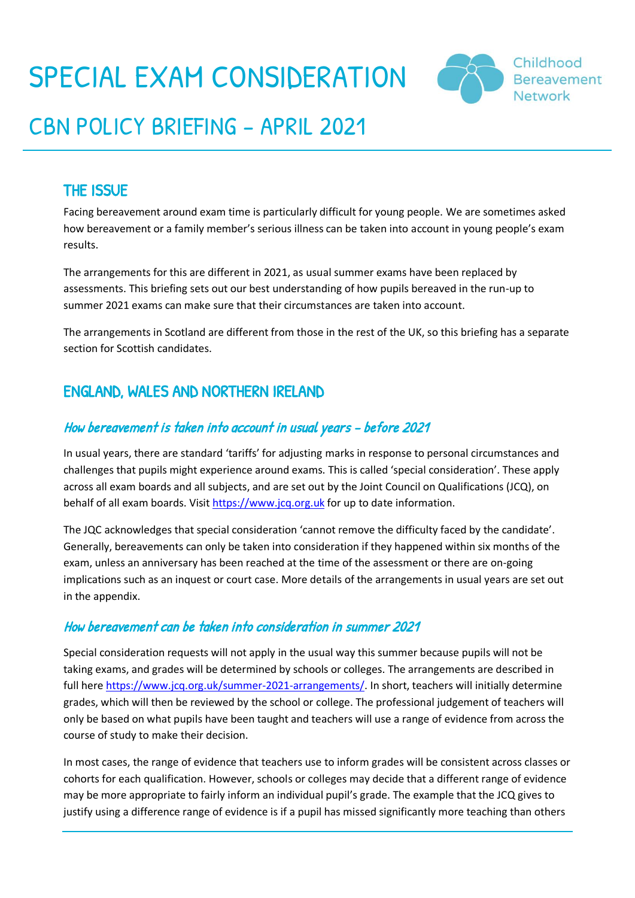# SPECIAL EXAM CONSIDERATION



## CBN POLICY BRIEFING – APRIL 2021

## THE ISSUE

Facing bereavement around exam time is particularly difficult for young people. We are sometimes asked how bereavement or a family member's serious illness can be taken into account in young people's exam results.

The arrangements for this are different in 2021, as usual summer exams have been replaced by assessments. This briefing sets out our best understanding of how pupils bereaved in the run-up to summer 2021 exams can make sure that their circumstances are taken into account.

The arrangements in Scotland are different from those in the rest of the UK, so this briefing has a separate section for Scottish candidates.

## ENGLAND, WALES AND NORTHERN IRELAND

### How bereavement is taken into account in usual years – before 2021

In usual years, there are standard 'tariffs' for adjusting marks in response to personal circumstances and challenges that pupils might experience around exams. This is called 'special consideration'. These apply across all exam boards and all subjects, and are set out by the Joint Council on Qualifications (JCQ), on behalf of all exam boards. Visit [https://www.jcq.org.uk](https://www.jcq.org.uk/) for up to date information.

The JQC acknowledges that special consideration 'cannot remove the difficulty faced by the candidate'. Generally, bereavements can only be taken into consideration if they happened within six months of the exam, unless an anniversary has been reached at the time of the assessment or there are on-going implications such as an inquest or court case. More details of the arrangements in usual years are set out in the appendix.

### How bereavement can be taken into consideration in summer 2021

Special consideration requests will not apply in the usual way this summer because pupils will not be taking exams, and grades will be determined by schools or colleges. The arrangements are described in full here [https://www.jcq.org.uk/summer-2021-arrangements/.](https://www.jcq.org.uk/summer-2021-arrangements/) In short, teachers will initially determine grades, which will then be reviewed by the school or college. The professional judgement of teachers will only be based on what pupils have been taught and teachers will use a range of evidence from across the course of study to make their decision.

In most cases, the range of evidence that teachers use to inform grades will be consistent across classes or cohorts for each qualification. However, schools or colleges may decide that a different range of evidence may be more appropriate to fairly inform an individual pupil's grade. The example that the JCQ gives to justify using a difference range of evidence is if a pupil has missed significantly more teaching than others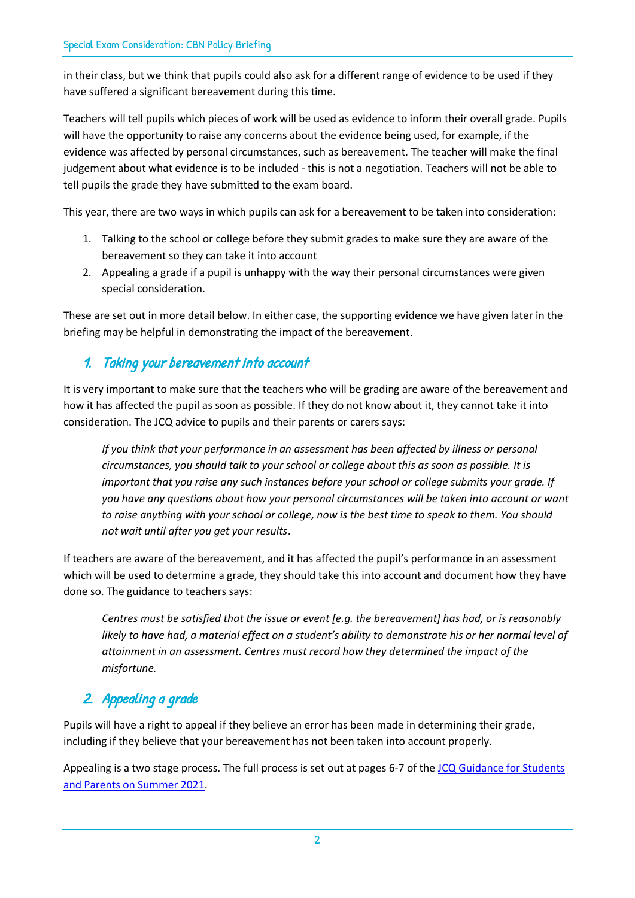in their class, but we think that pupils could also ask for a different range of evidence to be used if they have suffered a significant bereavement during this time.

Teachers will tell pupils which pieces of work will be used as evidence to inform their overall grade. Pupils will have the opportunity to raise any concerns about the evidence being used, for example, if the evidence was affected by personal circumstances, such as bereavement. The teacher will make the final judgement about what evidence is to be included - this is not a negotiation. Teachers will not be able to tell pupils the grade they have submitted to the exam board.

This year, there are two ways in which pupils can ask for a bereavement to be taken into consideration:

- 1. Talking to the school or college before they submit grades to make sure they are aware of the bereavement so they can take it into account
- 2. Appealing a grade if a pupil is unhappy with the way their personal circumstances were given special consideration.

These are set out in more detail below. In either case, the supporting evidence we have given later in the briefing may be helpful in demonstrating the impact of the bereavement.

## 1. Taking your bereavement into account

It is very important to make sure that the teachers who will be grading are aware of the bereavement and how it has affected the pupil as soon as possible. If they do not know about it, they cannot take it into consideration. The JCQ advice to pupils and their parents or carers says:

*If you think that your performance in an assessment has been affected by illness or personal circumstances, you should talk to your school or college about this as soon as possible. It is important that you raise any such instances before your school or college submits your grade. If you have any questions about how your personal circumstances will be taken into account or want to raise anything with your school or college, now is the best time to speak to them. You should not wait until after you get your results*.

If teachers are aware of the bereavement, and it has affected the pupil's performance in an assessment which will be used to determine a grade, they should take this into account and document how they have done so. The guidance to teachers says:

*Centres must be satisfied that the issue or event [e.g. the bereavement] has had, or is reasonably likely to have had, a material effect on a student's ability to demonstrate his or her normal level of attainment in an assessment. Centres must record how they determined the impact of the misfortune.*

## 2. Appealing a grade

Pupils will have a right to appeal if they believe an error has been made in determining their grade, including if they believe that your bereavement has not been taken into account properly.

Appealing is a two stage process. The full process is set out at pages 6-7 of the JCQ Guidance for Students [and Parents on Summer 2021.](https://www.jcq.org.uk/wp-content/uploads/2021/03/JCQ-Guidance-for-Students-and-Parents-on-Summer-2021.pdf)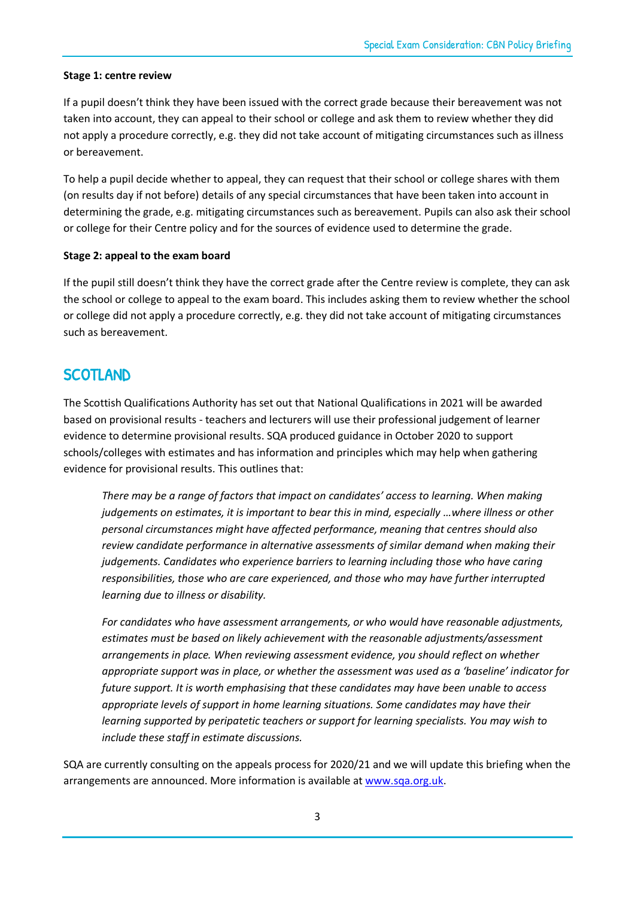#### **Stage 1: centre review**

If a pupil doesn't think they have been issued with the correct grade because their bereavement was not taken into account, they can appeal to their school or college and ask them to review whether they did not apply a procedure correctly, e.g. they did not take account of mitigating circumstances such as illness or bereavement.

To help a pupil decide whether to appeal, they can request that their school or college shares with them (on results day if not before) details of any special circumstances that have been taken into account in determining the grade, e.g. mitigating circumstances such as bereavement. Pupils can also ask their school or college for their Centre policy and for the sources of evidence used to determine the grade.

#### **Stage 2: appeal to the exam board**

If the pupil still doesn't think they have the correct grade after the Centre review is complete, they can ask the school or college to appeal to the exam board. This includes asking them to review whether the school or college did not apply a procedure correctly, e.g. they did not take account of mitigating circumstances such as bereavement.

## **SCOTLAND**

The Scottish Qualifications Authority has set out that National Qualifications in 2021 will be awarded based on provisional results - teachers and lecturers will use their professional judgement of learner evidence to determine provisional results. SQA produced guidance in October 2020 to support schools/colleges with estimates and has information and principles which may help when gathering evidence for provisional results. This outlines that:

*There may be a range of factors that impact on candidates' access to learning. When making judgements on estimates, it is important to bear this in mind, especially …where illness or other personal circumstances might have affected performance, meaning that centres should also review candidate performance in alternative assessments of similar demand when making their judgements. Candidates who experience barriers to learning including those who have caring responsibilities, those who are care experienced, and those who may have further interrupted learning due to illness or disability.* 

*For candidates who have assessment arrangements, or who would have reasonable adjustments, estimates must be based on likely achievement with the reasonable adjustments/assessment arrangements in place. When reviewing assessment evidence, you should reflect on whether appropriate support was in place, or whether the assessment was used as a 'baseline' indicator for future support. It is worth emphasising that these candidates may have been unable to access appropriate levels of support in home learning situations. Some candidates may have their learning supported by peripatetic teachers or support for learning specialists. You may wish to include these staff in estimate discussions.*

SQA are currently consulting on the appeals process for 2020/21 and we will update this briefing when the arrangements are announced. More information is available a[t www.sqa.org.uk.](http://www.sqa.org.uk/)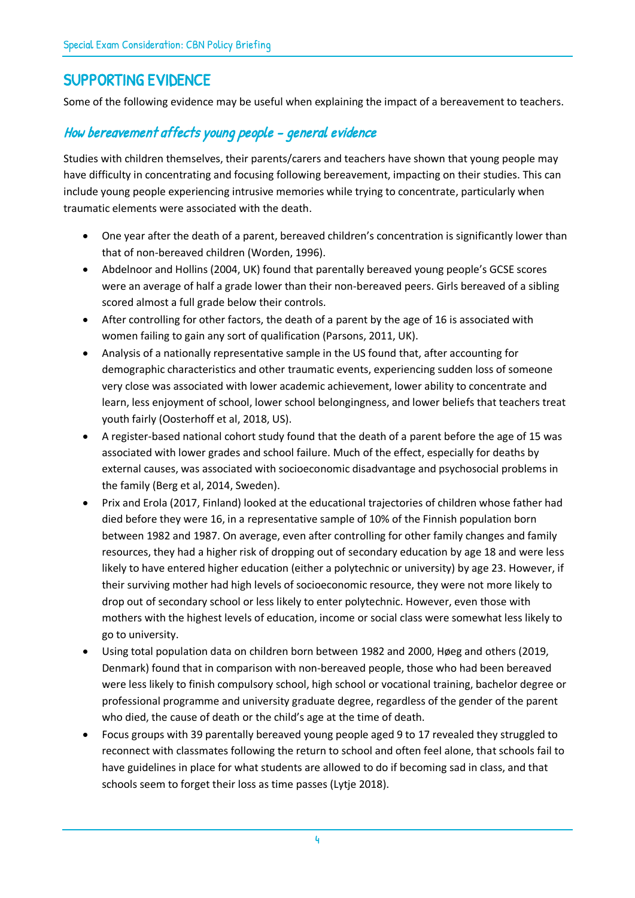## SUPPORTING EVIDENCE

Some of the following evidence may be useful when explaining the impact of a bereavement to teachers.

## How bereavement affects young people – general evidence

Studies with children themselves, their parents/carers and teachers have shown that young people may have difficulty in concentrating and focusing following bereavement, impacting on their studies. This can include young people experiencing intrusive memories while trying to concentrate, particularly when traumatic elements were associated with the death.

- One year after the death of a parent, bereaved children's concentration is significantly lower than that of non-bereaved children (Worden, 1996).
- Abdelnoor and Hollins (2004, UK) found that parentally bereaved young people's GCSE scores were an average of half a grade lower than their non-bereaved peers. Girls bereaved of a sibling scored almost a full grade below their controls.
- After controlling for other factors, the death of a parent by the age of 16 is associated with women failing to gain any sort of qualification (Parsons, 2011, UK).
- Analysis of a nationally representative sample in the US found that, after accounting for demographic characteristics and other traumatic events, experiencing sudden loss of someone very close was associated with lower academic achievement, lower ability to concentrate and learn, less enjoyment of school, lower school belongingness, and lower beliefs that teachers treat youth fairly (Oosterhoff et al, 2018, US).
- A register-based national cohort study found that the death of a parent before the age of 15 was associated with lower grades and school failure. Much of the effect, especially for deaths by external causes, was associated with socioeconomic disadvantage and psychosocial problems in the family (Berg et al, 2014, Sweden).
- Prix and Erola (2017, Finland) looked at the educational trajectories of children whose father had died before they were 16, in a representative sample of 10% of the Finnish population born between 1982 and 1987. On average, even after controlling for other family changes and family resources, they had a higher risk of dropping out of secondary education by age 18 and were less likely to have entered higher education (either a polytechnic or university) by age 23. However, if their surviving mother had high levels of socioeconomic resource, they were not more likely to drop out of secondary school or less likely to enter polytechnic. However, even those with mothers with the highest levels of education, income or social class were somewhat less likely to go to university.
- Using total population data on children born between 1982 and 2000, Høeg and others (2019, Denmark) found that in comparison with non-bereaved people, those who had been bereaved were less likely to finish compulsory school, high school or vocational training, bachelor degree or professional programme and university graduate degree, regardless of the gender of the parent who died, the cause of death or the child's age at the time of death.
- Focus groups with 39 parentally bereaved young people aged 9 to 17 revealed they struggled to reconnect with classmates following the return to school and often feel alone, that schools fail to have guidelines in place for what students are allowed to do if becoming sad in class, and that schools seem to forget their loss as time passes (Lytje 2018).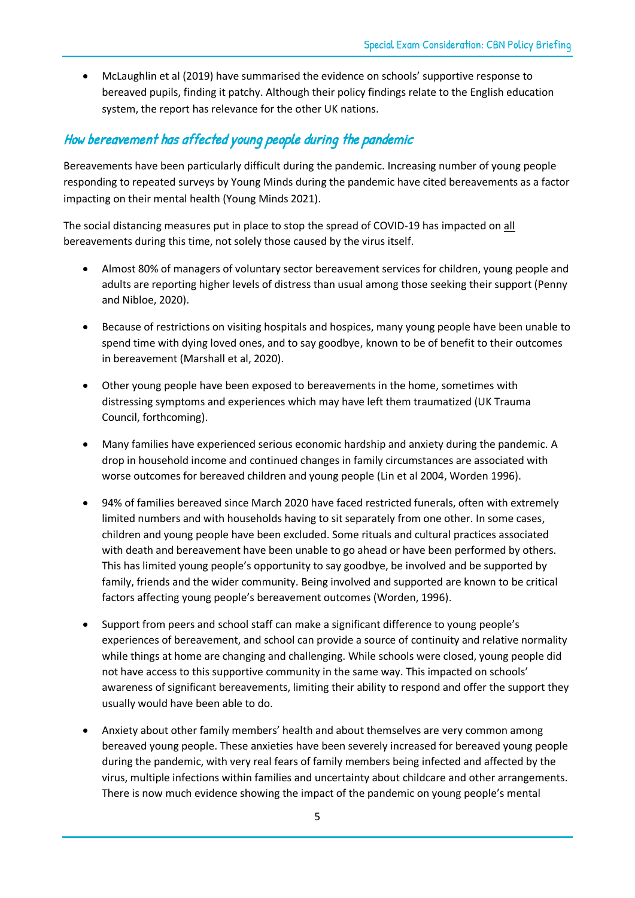• McLaughlin et al (2019) have summarised the evidence on schools' supportive response to bereaved pupils, finding it patchy. Although their policy findings relate to the English education system, the report has relevance for the other UK nations.

## How bereavement has affected young people during the pandemic

Bereavements have been particularly difficult during the pandemic. Increasing number of young people responding to repeated surveys by Young Minds during the pandemic have cited bereavements as a factor impacting on their mental health (Young Minds 2021).

The social distancing measures put in place to stop the spread of COVID-19 has impacted on all bereavements during this time, not solely those caused by the virus itself.

- Almost 80% of managers of voluntary sector bereavement services for children, young people and adults are reporting higher levels of distress than usual among those seeking their support (Penny and Nibloe, 2020).
- Because of restrictions on visiting hospitals and hospices, many young people have been unable to spend time with dying loved ones, and to say goodbye, known to be of benefit to their outcomes in bereavement (Marshall et al, 2020).
- Other young people have been exposed to bereavements in the home, sometimes with distressing symptoms and experiences which may have left them traumatized (UK Trauma Council, forthcoming).
- Many families have experienced serious economic hardship and anxiety during the pandemic. A drop in household income and continued changes in family circumstances are associated with worse outcomes for bereaved children and young people (Lin et al 2004, Worden 1996).
- 94% of families bereaved since March 2020 have faced restricted funerals, often with extremely limited numbers and with households having to sit separately from one other. In some cases, children and young people have been excluded. Some rituals and cultural practices associated with death and bereavement have been unable to go ahead or have been performed by others. This has limited young people's opportunity to say goodbye, be involved and be supported by family, friends and the wider community. Being involved and supported are known to be critical factors affecting young people's bereavement outcomes (Worden, 1996).
- Support from peers and school staff can make a significant difference to young people's experiences of bereavement, and school can provide a source of continuity and relative normality while things at home are changing and challenging. While schools were closed, young people did not have access to this supportive community in the same way. This impacted on schools' awareness of significant bereavements, limiting their ability to respond and offer the support they usually would have been able to do.
- Anxiety about other family members' health and about themselves are very common among bereaved young people. These anxieties have been severely increased for bereaved young people during the pandemic, with very real fears of family members being infected and affected by the virus, multiple infections within families and uncertainty about childcare and other arrangements. There is now much evidence showing the impact of the pandemic on young people's mental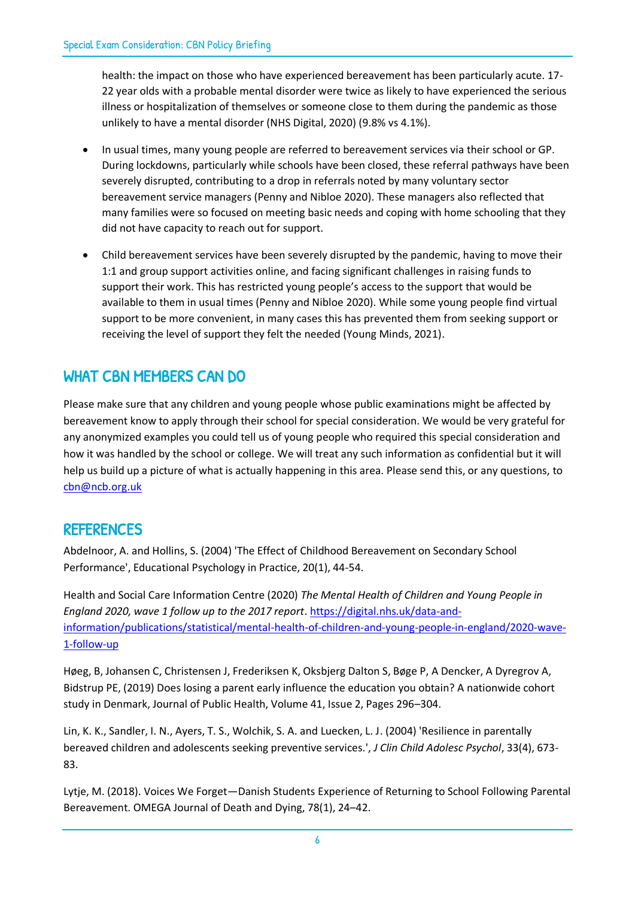health: the impact on those who have experienced bereavement has been particularly acute. 17- 22 year olds with a probable mental disorder were twice as likely to have experienced the serious illness or hospitalization of themselves or someone close to them during the pandemic as those unlikely to have a mental disorder (NHS Digital, 2020) (9.8% vs 4.1%).

- In usual times, many young people are referred to bereavement services via their school or GP. During lockdowns, particularly while schools have been closed, these referral pathways have been severely disrupted, contributing to a drop in referrals noted by many voluntary sector bereavement service managers (Penny and Nibloe 2020). These managers also reflected that many families were so focused on meeting basic needs and coping with home schooling that they did not have capacity to reach out for support.
- Child bereavement services have been severely disrupted by the pandemic, having to move their 1:1 and group support activities online, and facing significant challenges in raising funds to support their work. This has restricted young people's access to the support that would be available to them in usual times (Penny and Nibloe 2020). While some young people find virtual support to be more convenient, in many cases this has prevented them from seeking support or receiving the level of support they felt the needed (Young Minds, 2021).

## WHAT CBN MEMBERS CAN DO

Please make sure that any children and young people whose public examinations might be affected by bereavement know to apply through their school for special consideration. We would be very grateful for any anonymized examples you could tell us of young people who required this special consideration and how it was handled by the school or college. We will treat any such information as confidential but it will help us build up a picture of what is actually happening in this area. Please send this, or any questions, to [cbn@ncb.org.uk](mailto:cbn@ncb.org.uk)

## REFERENCES

Abdelnoor, A. and Hollins, S. (2004) 'The Effect of Childhood Bereavement on Secondary School Performance', Educational Psychology in Practice, 20(1), 44-54.

Health and Social Care Information Centre (2020) *The Mental Health of Children and Young People in England 2020, wave 1 follow up to the 2017 report*[. https://digital.nhs.uk/data-and](https://digital.nhs.uk/data-and-information/publications/statistical/mental-health-of-children-and-young-people-in-england/2020-wave-1-follow-up)[information/publications/statistical/mental-health-of-children-and-young-people-in-england/2020-wave-](https://digital.nhs.uk/data-and-information/publications/statistical/mental-health-of-children-and-young-people-in-england/2020-wave-1-follow-up)[1-follow-up](https://digital.nhs.uk/data-and-information/publications/statistical/mental-health-of-children-and-young-people-in-england/2020-wave-1-follow-up)

Høeg, B, Johansen C, Christensen J, Frederiksen K, Oksbjerg Dalton S, Bøge P, A Dencker, A Dyregrov A, Bidstrup PE, (2019) Does losing a parent early influence the education you obtain? A nationwide cohort study in Denmark, Journal of Public Health, Volume 41, Issue 2, Pages 296–304.

Lin, K. K., Sandler, I. N., Ayers, T. S., Wolchik, S. A. and Luecken, L. J. (2004) 'Resilience in parentally bereaved children and adolescents seeking preventive services.', *J Clin Child Adolesc Psychol*, 33(4), 673- 83.

Lytje, M. (2018). Voices We Forget—Danish Students Experience of Returning to School Following Parental Bereavement. OMEGA Journal of Death and Dying, 78(1), 24–42.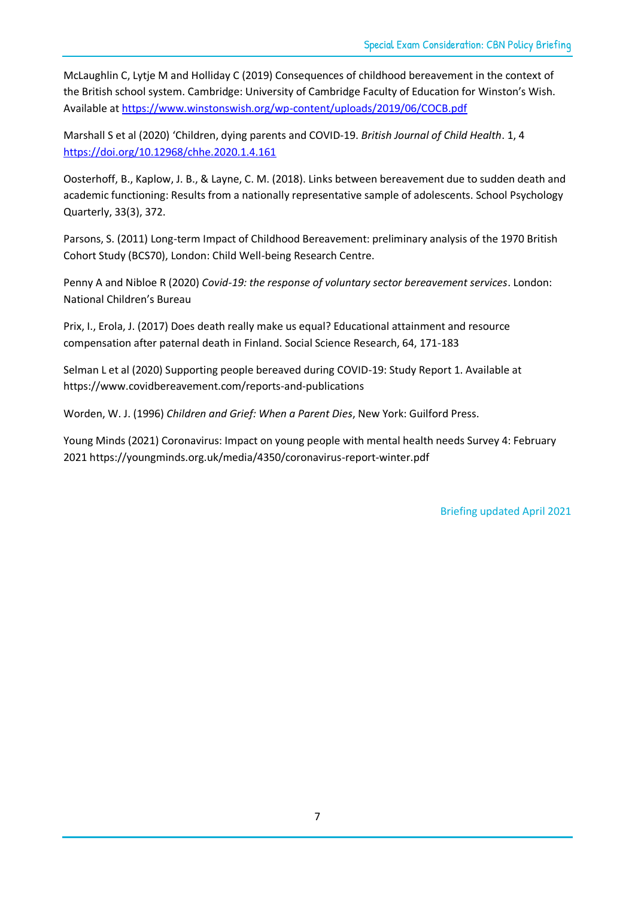McLaughlin C, Lytje M and Holliday C (2019) Consequences of childhood bereavement in the context of the British school system. Cambridge: University of Cambridge Faculty of Education for Winston's Wish. Available at<https://www.winstonswish.org/wp-content/uploads/2019/06/COCB.pdf>

Marshall S et al (2020) 'Children, dying parents and COVID-19. *British Journal of Child Health*. 1, 4 <https://doi.org/10.12968/chhe.2020.1.4.161>

Oosterhoff, B., Kaplow, J. B., & Layne, C. M. (2018). Links between bereavement due to sudden death and academic functioning: Results from a nationally representative sample of adolescents. School Psychology Quarterly, 33(3), 372.

Parsons, S. (2011) Long-term Impact of Childhood Bereavement: preliminary analysis of the 1970 British Cohort Study (BCS70), London: Child Well-being Research Centre.

Penny A and Nibloe R (2020) *Covid-19: the response of voluntary sector bereavement services*. London: National Children's Bureau

Prix, I., Erola, J. (2017) Does death really make us equal? Educational attainment and resource compensation after paternal death in Finland. Social Science Research, 64, 171-183

Selman L et al (2020) Supporting people bereaved during COVID-19: Study Report 1. Available at https://www.covidbereavement.com/reports-and-publications

Worden, W. J. (1996) *Children and Grief: When a Parent Dies*, New York: Guilford Press.

Young Minds (2021) Coronavirus: Impact on young people with mental health needs Survey 4: February 2021 https://youngminds.org.uk/media/4350/coronavirus-report-winter.pdf

Briefing updated April 2021